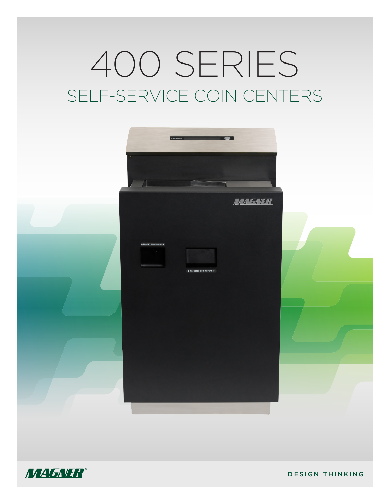# 400 SERIES SELF-SERVICE COIN CENTERS





DESIGN THINKING